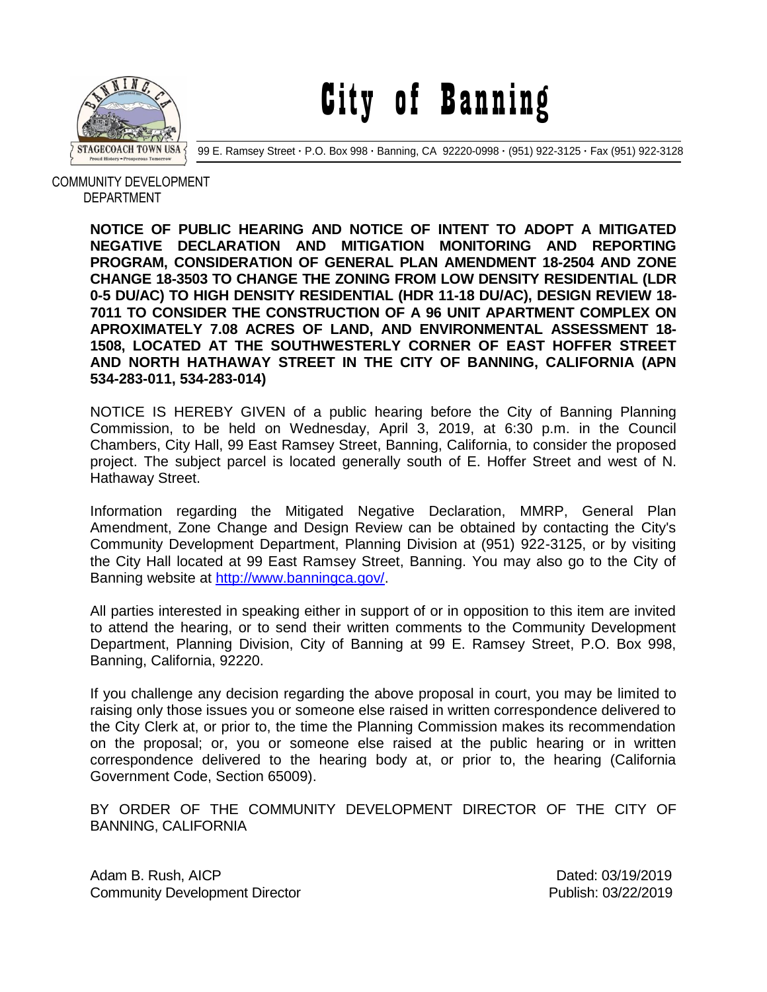

City of Banning

99 E. Ramsey Street **·** P.O. Box 998 **·** Banning, CA 92220-0998 **·** (951) 922-3125 **·** Fax (951) 922-3128

 COMMUNITY DEVELOPMENT DEPARTMENT

> **NOTICE OF PUBLIC HEARING AND NOTICE OF INTENT TO ADOPT A MITIGATED NEGATIVE DECLARATION AND MITIGATION MONITORING AND REPORTING PROGRAM, CONSIDERATION OF GENERAL PLAN AMENDMENT 18-2504 AND ZONE CHANGE 18-3503 TO CHANGE THE ZONING FROM LOW DENSITY RESIDENTIAL (LDR 0-5 DU/AC) TO HIGH DENSITY RESIDENTIAL (HDR 11-18 DU/AC), DESIGN REVIEW 18- 7011 TO CONSIDER THE CONSTRUCTION OF A 96 UNIT APARTMENT COMPLEX ON APROXIMATELY 7.08 ACRES OF LAND, AND ENVIRONMENTAL ASSESSMENT 18- 1508, LOCATED AT THE SOUTHWESTERLY CORNER OF EAST HOFFER STREET AND NORTH HATHAWAY STREET IN THE CITY OF BANNING, CALIFORNIA (APN 534-283-011, 534-283-014)**

> NOTICE IS HEREBY GIVEN of a public hearing before the City of Banning Planning Commission, to be held on Wednesday, April 3, 2019, at 6:30 p.m. in the Council Chambers, City Hall, 99 East Ramsey Street, Banning, California, to consider the proposed project. The subject parcel is located generally south of E. Hoffer Street and west of N. Hathaway Street.

> Information regarding the Mitigated Negative Declaration, MMRP, General Plan Amendment, Zone Change and Design Review can be obtained by contacting the City's Community Development Department, Planning Division at (951) 922-3125, or by visiting the City Hall located at 99 East Ramsey Street, Banning. You may also go to the City of Banning website at [http://www.banningca.gov/.](http://www.banningca.gov/)

> All parties interested in speaking either in support of or in opposition to this item are invited to attend the hearing, or to send their written comments to the Community Development Department, Planning Division, City of Banning at 99 E. Ramsey Street, P.O. Box 998, Banning, California, 92220.

> If you challenge any decision regarding the above proposal in court, you may be limited to raising only those issues you or someone else raised in written correspondence delivered to the City Clerk at, or prior to, the time the Planning Commission makes its recommendation on the proposal; or, you or someone else raised at the public hearing or in written correspondence delivered to the hearing body at, or prior to, the hearing (California Government Code, Section 65009).

> BY ORDER OF THE COMMUNITY DEVELOPMENT DIRECTOR OF THE CITY OF BANNING, CALIFORNIA

> Adam B. Rush, AICP **Dated: 03/19/2019** Community Development Director Publish: 03/22/2019